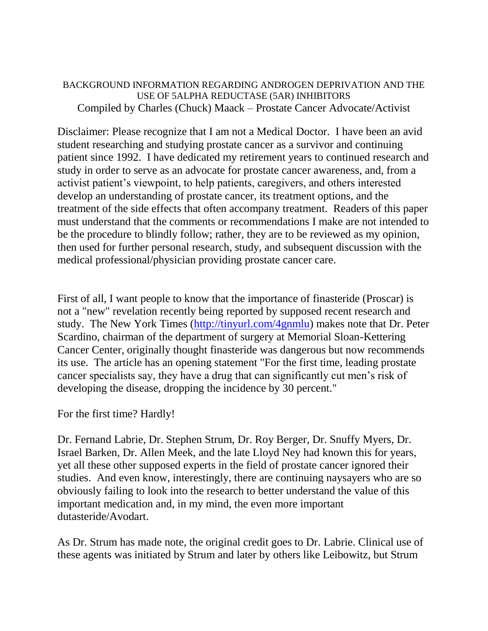BACKGROUND INFORMATION REGARDING ANDROGEN DEPRIVATION AND THE USE OF 5ALPHA REDUCTASE (5AR) INHIBITORS Compiled by Charles (Chuck) Maack – Prostate Cancer Advocate/Activist

Disclaimer: Please recognize that I am not a Medical Doctor. I have been an avid student researching and studying prostate cancer as a survivor and continuing patient since 1992. I have dedicated my retirement years to continued research and study in order to serve as an advocate for prostate cancer awareness, and, from a activist patient's viewpoint, to help patients, caregivers, and others interested develop an understanding of prostate cancer, its treatment options, and the treatment of the side effects that often accompany treatment. Readers of this paper must understand that the comments or recommendations I make are not intended to be the procedure to blindly follow; rather, they are to be reviewed as my opinion, then used for further personal research, study, and subsequent discussion with the medical professional/physician providing prostate cancer care.

First of all, I want people to know that the importance of finasteride (Proscar) is not a "new" revelation recently being reported by supposed recent research and study. The New York Times [\(http://tinyurl.com/4gnmlu\)](http://tinyurl.com/4gnmlu) makes note that Dr. Peter Scardino, chairman of the department of surgery at Memorial Sloan-Kettering Cancer Center, originally thought finasteride was dangerous but now recommends its use. The article has an opening statement "For the first time, leading prostate cancer specialists say, they have a drug that can significantly cut men's risk of developing the disease, dropping the incidence by 30 percent."

For the first time? Hardly!

Dr. Fernand Labrie, Dr. Stephen Strum, Dr. Roy Berger, Dr. Snuffy Myers, Dr. Israel Barken, Dr. Allen Meek, and the late Lloyd Ney had known this for years, yet all these other supposed experts in the field of prostate cancer ignored their studies. And even know, interestingly, there are continuing naysayers who are so obviously failing to look into the research to better understand the value of this important medication and, in my mind, the even more important dutasteride/Avodart.

As Dr. Strum has made note, the original credit goes to Dr. Labrie. Clinical use of these agents was initiated by Strum and later by others like Leibowitz, but Strum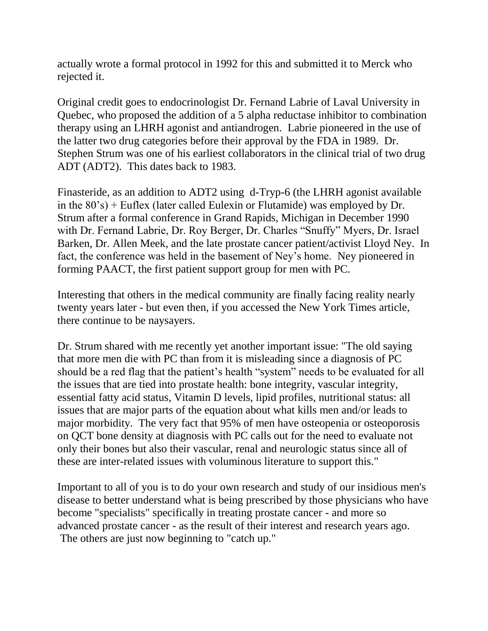actually wrote a formal protocol in 1992 for this and submitted it to Merck who rejected it.

Original credit goes to endocrinologist Dr. Fernand Labrie of Laval University in Quebec, who proposed the addition of a 5 alpha reductase inhibitor to combination therapy using an LHRH agonist and antiandrogen. Labrie pioneered in the use of the latter two drug categories before their approval by the FDA in 1989. Dr. Stephen Strum was one of his earliest collaborators in the clinical trial of two drug ADT (ADT2). This dates back to 1983.

Finasteride, as an addition to ADT2 using d-Tryp-6 (the LHRH agonist available in the 80's) + Euflex (later called Eulexin or Flutamide) was employed by Dr. Strum after a formal conference in Grand Rapids, Michigan in December 1990 with Dr. Fernand Labrie, Dr. Roy Berger, Dr. Charles "Snuffy" Myers, Dr. Israel Barken, Dr. Allen Meek, and the late prostate cancer patient/activist Lloyd Ney. In fact, the conference was held in the basement of Ney's home. Ney pioneered in forming PAACT, the first patient support group for men with PC.

Interesting that others in the medical community are finally facing reality nearly twenty years later - but even then, if you accessed the New York Times article, there continue to be naysayers.

Dr. Strum shared with me recently yet another important issue: "The old saying that more men die with PC than from it is misleading since a diagnosis of PC should be a red flag that the patient's health "system" needs to be evaluated for all the issues that are tied into prostate health: bone integrity, vascular integrity, essential fatty acid status, Vitamin D levels, lipid profiles, nutritional status: all issues that are major parts of the equation about what kills men and/or leads to major morbidity. The very fact that 95% of men have osteopenia or osteoporosis on QCT bone density at diagnosis with PC calls out for the need to evaluate not only their bones but also their vascular, renal and neurologic status since all of these are inter-related issues with voluminous literature to support this."

Important to all of you is to do your own research and study of our insidious men's disease to better understand what is being prescribed by those physicians who have become "specialists" specifically in treating prostate cancer - and more so advanced prostate cancer - as the result of their interest and research years ago. The others are just now beginning to "catch up."